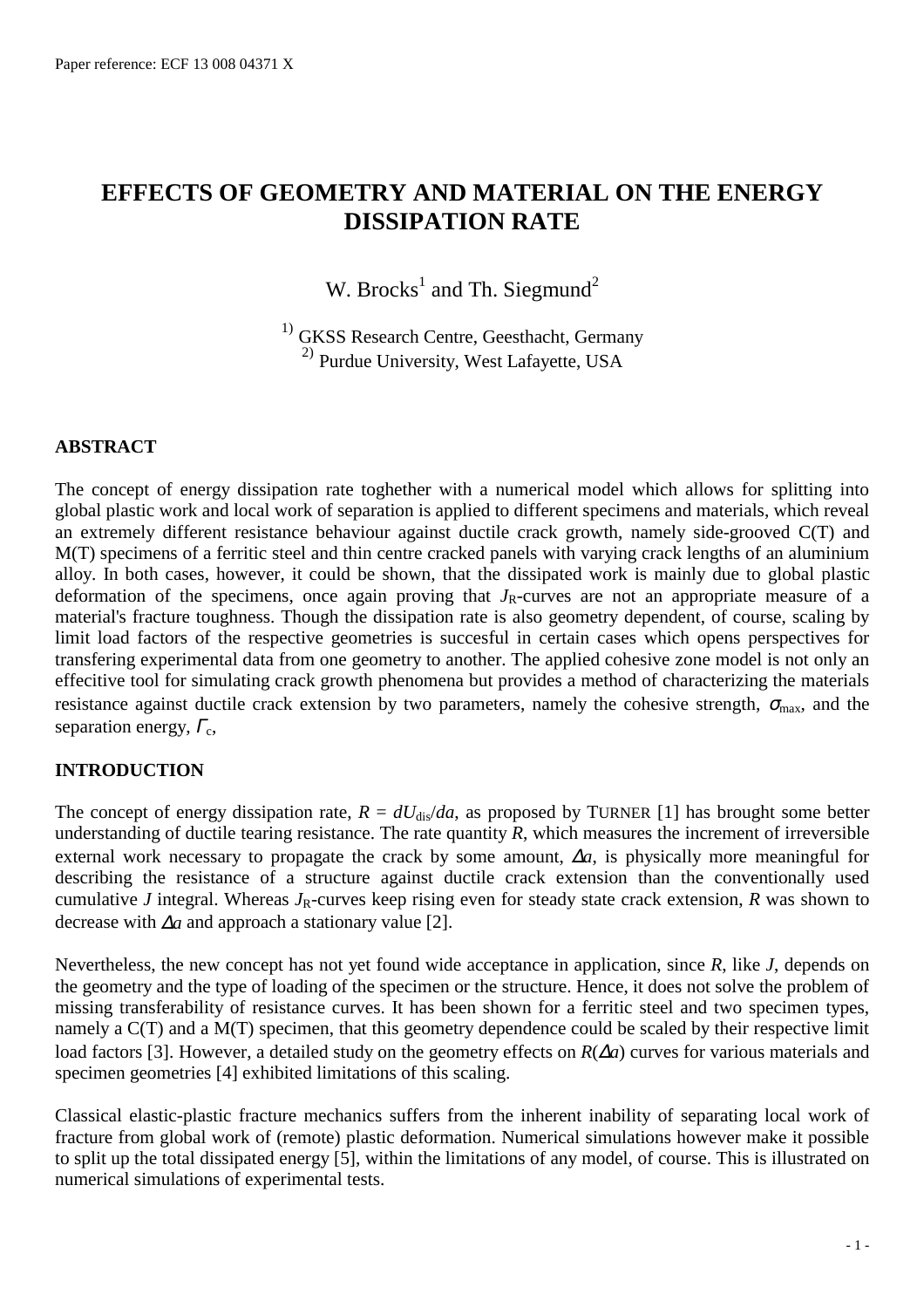# **EFFECTS OF GEOMETRY AND MATERIAL ON THE ENERGY DISSIPATION RATE**

W. Brocks<sup>1</sup> and Th. Siegmund<sup>2</sup>

<sup>1)</sup> GKSS Research Centre, Geesthacht, Germany 2) Purdue University, West Lafayette, USA

### **ABSTRACT**

The concept of energy dissipation rate toghether with a numerical model which allows for splitting into global plastic work and local work of separation is applied to different specimens and materials, which reveal an extremely different resistance behaviour against ductile crack growth, namely side-grooved C(T) and M(T) specimens of a ferritic steel and thin centre cracked panels with varying crack lengths of an aluminium alloy. In both cases, however, it could be shown, that the dissipated work is mainly due to global plastic deformation of the specimens, once again proving that  $J_R$ -curves are not an appropriate measure of a material's fracture toughness. Though the dissipation rate is also geometry dependent, of course, scaling by limit load factors of the respective geometries is succesful in certain cases which opens perspectives for transfering experimental data from one geometry to another. The applied cohesive zone model is not only an effecitive tool for simulating crack growth phenomena but provides a method of characterizing the materials resistance against ductile crack extension by two parameters, namely the cohesive strength,  $\sigma_{\text{max}}$ , and the separation energy,  $\Gamma_c$ ,

# **INTRODUCTION**

The concept of energy dissipation rate,  $R = dU_{\text{dis}}/da$ , as proposed by TURNER [1] has brought some better understanding of ductile tearing resistance. The rate quantity *R*, which measures the increment of irreversible external work necessary to propagate the crack by some amount, ∆*a*, is physically more meaningful for describing the resistance of a structure against ductile crack extension than the conventionally used cumulative *J* integral. Whereas  $J_R$ -curves keep rising even for steady state crack extension, *R* was shown to decrease with ∆*a* and approach a stationary value [2].

Nevertheless, the new concept has not yet found wide acceptance in application, since *R*, like *J*, depends on the geometry and the type of loading of the specimen or the structure. Hence, it does not solve the problem of missing transferability of resistance curves. It has been shown for a ferritic steel and two specimen types, namely a C(T) and a M(T) specimen, that this geometry dependence could be scaled by their respective limit load factors [3]. However, a detailed study on the geometry effects on *R*(∆*a*) curves for various materials and specimen geometries [4] exhibited limitations of this scaling.

Classical elastic-plastic fracture mechanics suffers from the inherent inability of separating local work of fracture from global work of (remote) plastic deformation. Numerical simulations however make it possible to split up the total dissipated energy [5], within the limitations of any model, of course. This is illustrated on numerical simulations of experimental tests.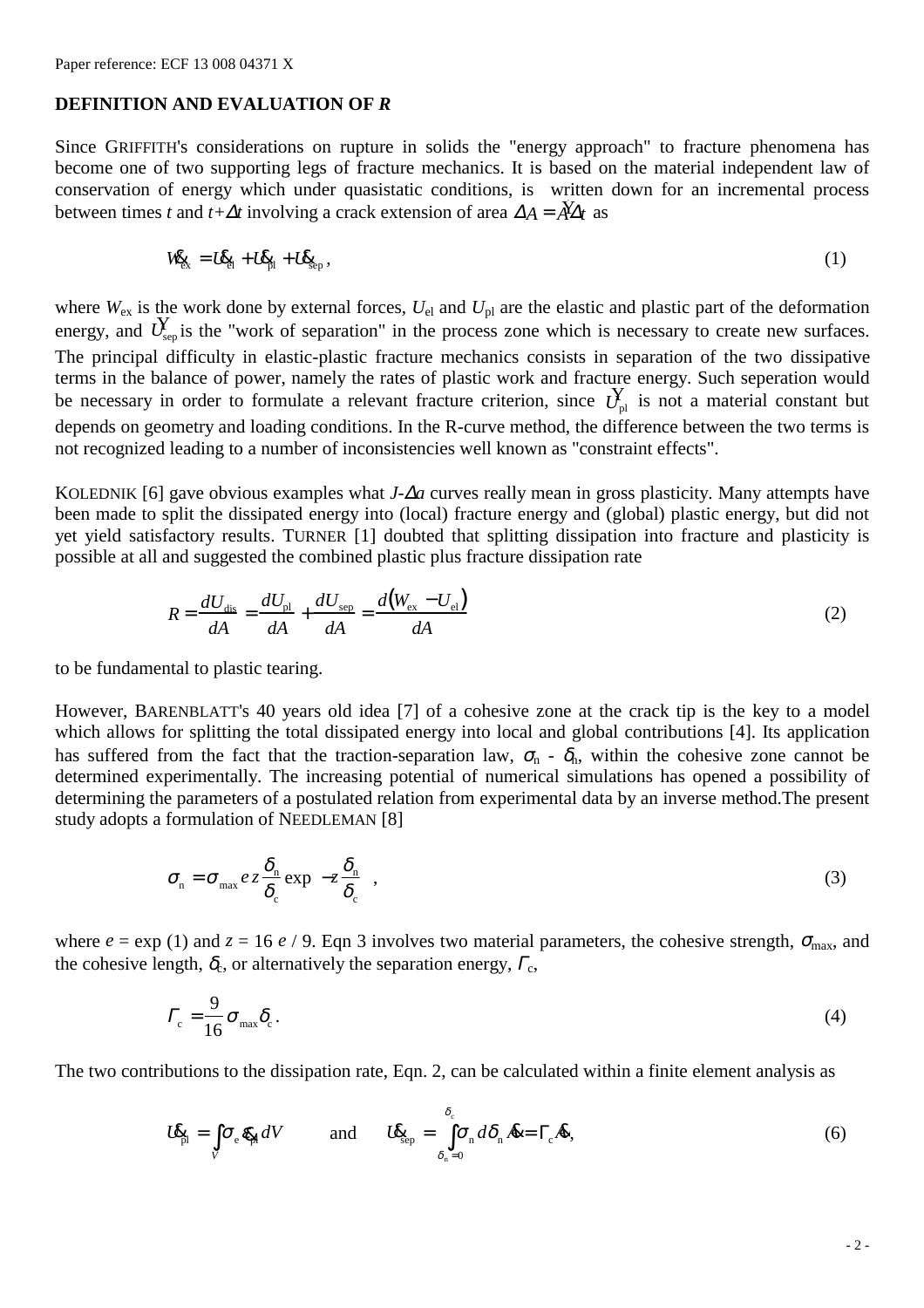#### **DEFINITION AND EVALUATION OF** *R*

Since GRIFFITH's considerations on rupture in solids the "energy approach" to fracture phenomena has become one of two supporting legs of fracture mechanics. It is based on the material independent law of conservation of energy which under quasistatic conditions, is written down for an incremental process between times *t* and *t*+ $\Delta t$  involving a crack extension of area  $\Delta A = \tilde{A} \Delta t$  as

$$
W_{\xi_x} = L \xi_{\text{H}} + L \xi_{\text{H}} + L \xi_{\text{sep}}\,,\tag{1}
$$

where  $W_{\text{ex}}$  is the work done by external forces,  $U_{\text{el}}$  and  $U_{\text{pl}}$  are the elastic and plastic part of the deformation energy, and  $U_{\text{sep}}$  is the "work of separation" in the process zone which is necessary to create new surfaces. The principal difficulty in elastic-plastic fracture mechanics consists in separation of the two dissipative terms in the balance of power, namely the rates of plastic work and fracture energy. Such seperation would be necessary in order to formulate a relevant fracture criterion, since  $\overrightarrow{U}_{nl}$  is not a material constant but depends on geometry and loading conditions. In the R-curve method, the difference between the two terms is not recognized leading to a number of inconsistencies well known as "constraint effects".

KOLEDNIK [6] gave obvious examples what *J*-∆*a* curves really mean in gross plasticity. Many attempts have been made to split the dissipated energy into (local) fracture energy and (global) plastic energy, but did not yet yield satisfactory results. TURNER [1] doubted that splitting dissipation into fracture and plasticity is possible at all and suggested the combined plastic plus fracture dissipation rate

$$
R = \frac{dU_{\text{dis}}}{dA} = \frac{dU_{\text{pl}}}{dA} + \frac{dU_{\text{sep}}}{dA} = \frac{d(W_{\text{ex}} - U_{\text{el}})}{dA}
$$
(2)

to be fundamental to plastic tearing.

However, BARENBLATT's 40 years old idea [7] of a cohesive zone at the crack tip is the key to a model which allows for splitting the total dissipated energy into local and global contributions [4]. Its application has suffered from the fact that the traction-separation law,  $\sigma_n$  -  $\delta_n$ , within the cohesive zone cannot be determined experimentally. The increasing potential of numerical simulations has opened a possibility of determining the parameters of a postulated relation from experimental data by an inverse method.The present study adopts a formulation of NEEDLEMAN [8]

$$
\sigma_{\rm n} = \sigma_{\rm max} e z \frac{\delta_{\rm n}}{\delta_{\rm c}} \exp\left(-z \frac{\delta_{\rm n}}{\delta_{\rm c}}\right),\tag{3}
$$

where  $e = \exp(1)$  and  $z = 16$  *e* / 9. Eqn 3 involves two material parameters, the cohesive strength,  $\sigma_{\text{max}}$ , and the cohesive length,  $\delta_c$ , or alternatively the separation energy,  $\Gamma_c$ ,

$$
\Gamma_{\rm c} = \frac{9}{16} \sigma_{\rm max} \delta_{\rm c} \,. \tag{4}
$$

The two contributions to the dissipation rate, Eqn. 2, can be calculated within a finite element analysis as

$$
U_{\text{pl}}^{\mathbf{c}} = \int_{V} \sigma_{\text{e}} \mathcal{R}_{\text{H}} dV \quad \text{and} \quad U_{\text{Sep}}^{\mathbf{c}} = \int_{\delta_{\text{n}}=0}^{\delta_{\text{e}}} \sigma_{\text{n}} d\delta_{\text{n}} \mathcal{R} = \Gamma_{\text{e}} \mathcal{R}, \tag{6}
$$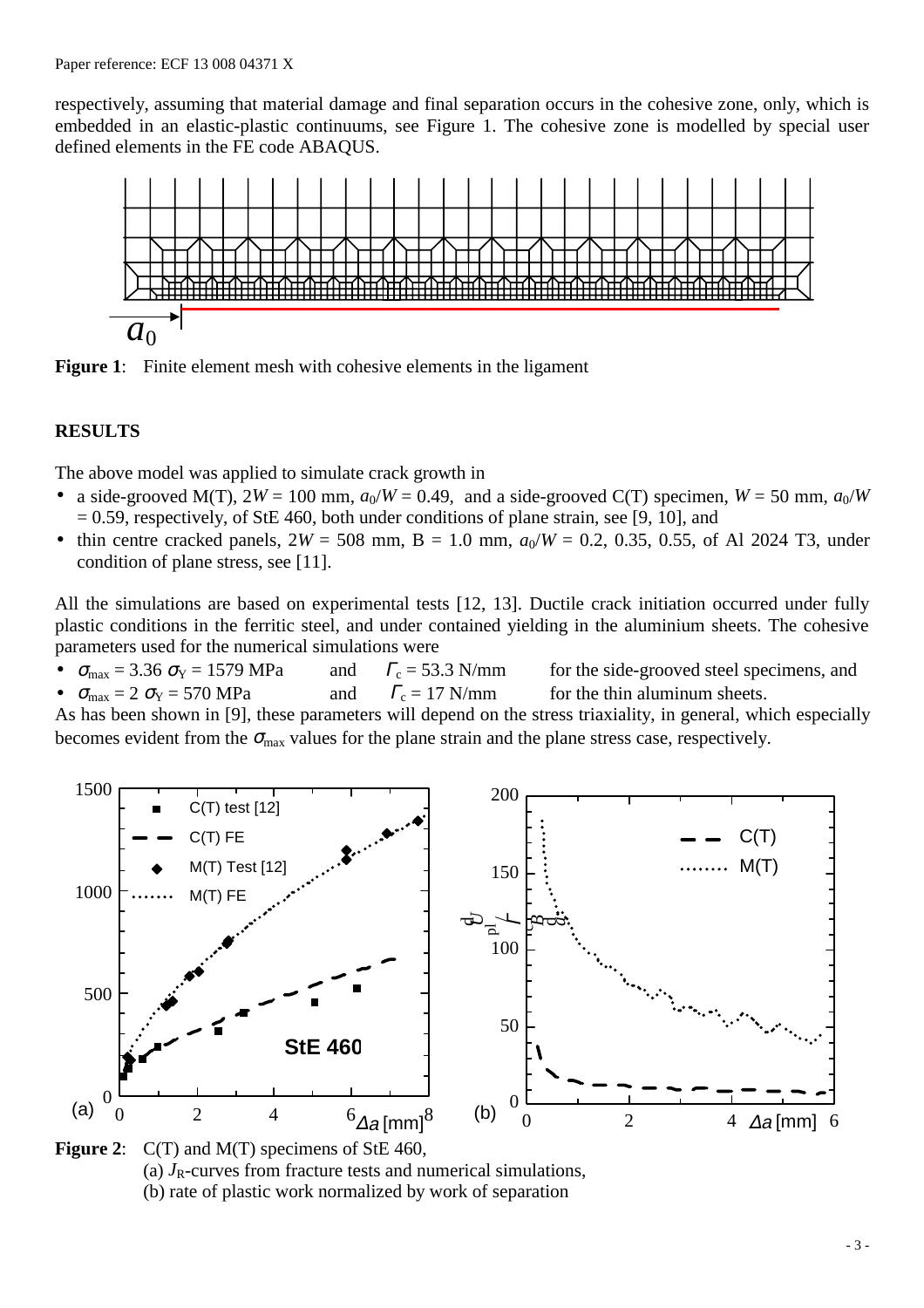respectively, assuming that material damage and final separation occurs in the cohesive zone, only, which is embedded in an elastic-plastic continuums, see Figure 1. The cohesive zone is modelled by special user defined elements in the FE code ABAQUS.





# **RESULTS**

The above model was applied to simulate crack growth in

- a side-grooved M(T),  $2W = 100$  mm,  $a_0/W = 0.49$ , and a side-grooved C(T) specimen,  $W = 50$  mm,  $a_0/W$  $= 0.59$ , respectively, of StE 460, both under conditions of plane strain, see [9, 10], and
- thin centre cracked panels,  $2W = 508$  mm,  $B = 1.0$  mm,  $a_0/W = 0.2$ , 0.35, 0.55, of Al 2024 T3, under condition of plane stress, see [11].

All the simulations are based on experimental tests [12, 13]. Ductile crack initiation occurred under fully plastic conditions in the ferritic steel, and under contained yielding in the aluminium sheets. The cohesive parameters used for the numerical simulations were

•  $\sigma_{\text{max}} = 3.36 \sigma_{\text{Y}} = 1579 \text{ MPa}$  and  $\Gamma_{\text{c}} = 53.3 \text{ N/mm}$  for the side-grooved steel specimens, and  $\sigma_{\text{max}} = 2 \sigma_{\text{Y}} = 570 \text{ MPa}$  and  $\Gamma_{\text{c}} = 17 \text{ N/mm}$  for the thin aluminum sheets.

As has been shown in [9], these parameters will depend on the stress triaxiality, in general, which especially becomes evident from the  $\sigma_{\text{max}}$  values for the plane strain and the plane stress case, respectively.



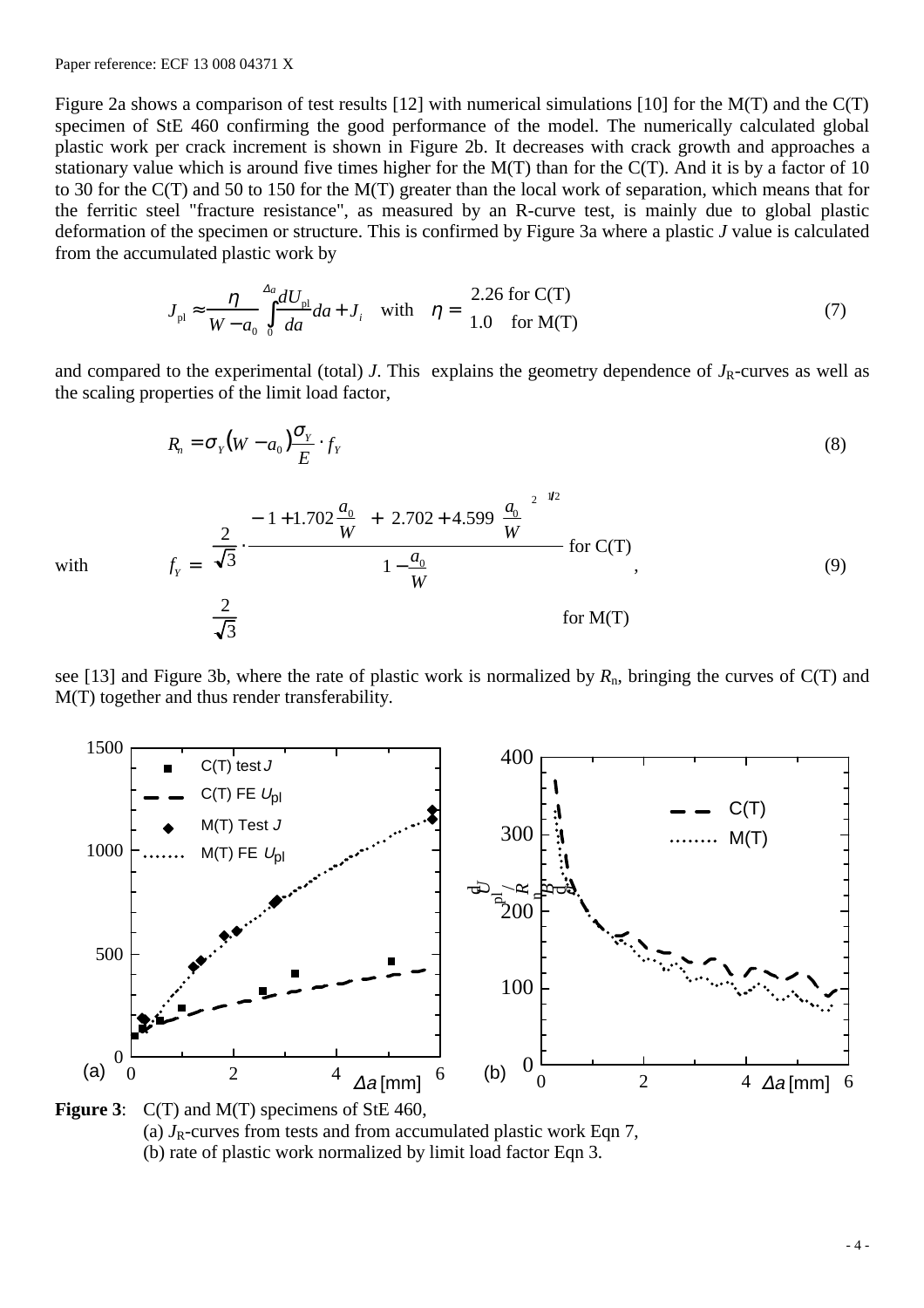Paper reference: ECF 13 008 04371 X

 $\lfloor$ 

Figure 2a shows a comparison of test results [12] with numerical simulations [10] for the M(T) and the C(T) specimen of StE 460 confirming the good performance of the model. The numerically calculated global plastic work per crack increment is shown in Figure 2b. It decreases with crack growth and approaches a stationary value which is around five times higher for the M(T) than for the C(T). And it is by a factor of 10 to 30 for the C(T) and 50 to 150 for the M(T) greater than the local work of separation, which means that for the ferritic steel "fracture resistance", as measured by an R-curve test, is mainly due to global plastic deformation of the specimen or structure. This is confirmed by Figure 3a where a plastic *J* value is calculated from the accumulated plastic work by

$$
J_{\rm pl} \approx \frac{\eta}{W - a_0} \int_0^{\Delta a} \frac{dU_{\rm pl}}{da} da + J_i \quad \text{with} \quad \eta = \begin{cases} 2.26 \text{ for C(T)} \\ 1.0 \quad \text{for M(T)} \end{cases} \tag{7}
$$

and compared to the experimental (total) *J*. This explains the geometry dependence of  $J_R$ -curves as well as the scaling properties of the limit load factor,

$$
R_n = \sigma_Y (W - a_0) \frac{\sigma_Y}{E} \cdot f_Y
$$
\n
$$
f_Y = \begin{cases}\n\frac{2}{\sqrt{3}} \cdot \frac{-\left(1 + 1.702 \frac{a_0}{W}\right) + \left[2.702 + 4.599 \left(\frac{a_0}{W}\right)^2\right]^{1/2}}{1 - \frac{a_0}{W}} & \text{for } C(T) \\
\frac{2}{\sqrt{3}} & \text{for } M(T)\n\end{cases}
$$
\n(9)

with *f*

see [13] and Figure 3b, where the rate of plastic work is normalized by  $R_n$ , bringing the curves of C(T) and M(T) together and thus render transferability.



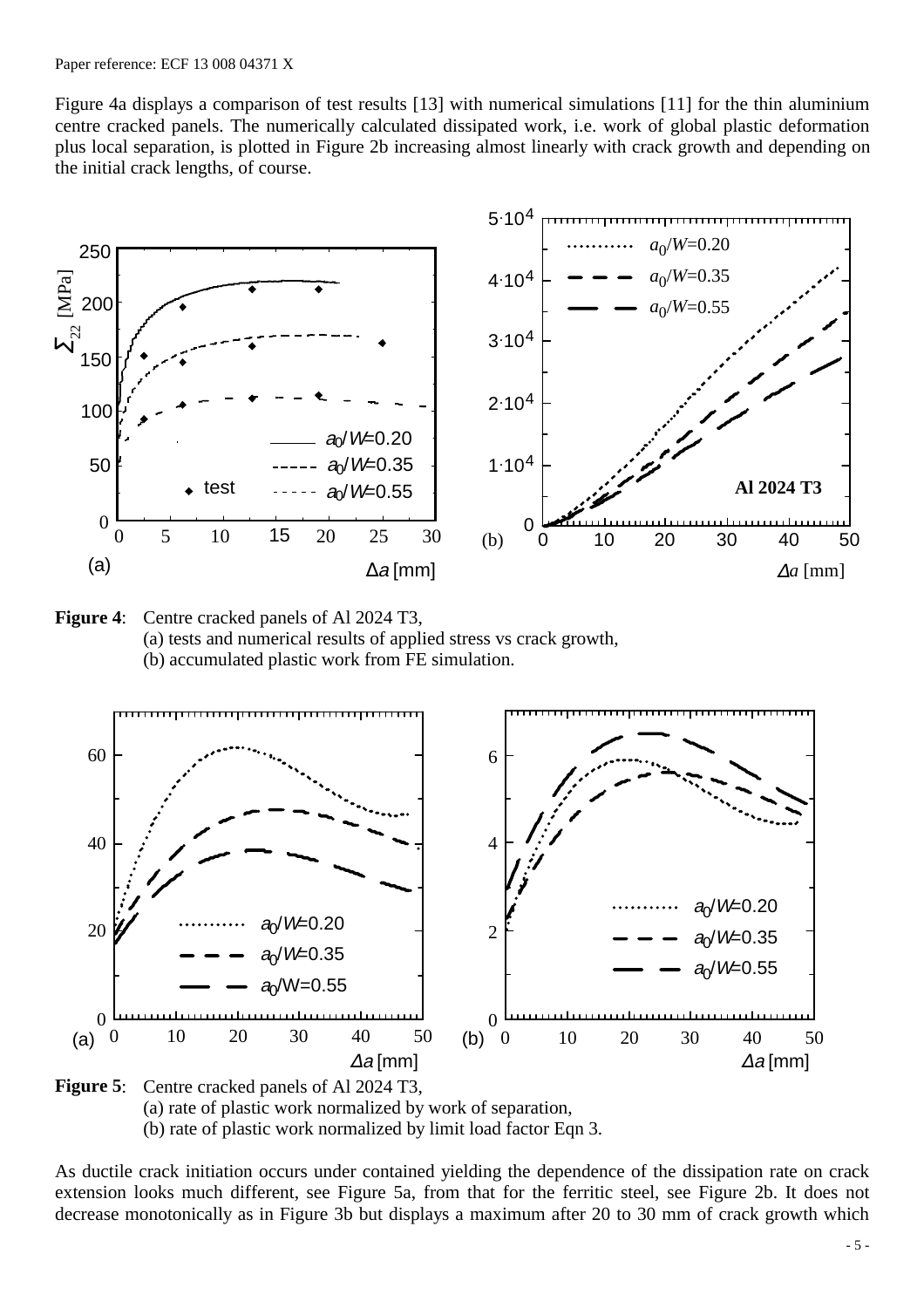Figure 4a displays a comparison of test results [13] with numerical simulations [11] for the thin aluminium centre cracked panels. The numerically calculated dissipated work, i.e. work of global plastic deformation plus local separation, is plotted in Figure 2b increasing almost linearly with crack growth and depending on the initial crack lengths, of course.









As ductile crack initiation occurs under contained yielding the dependence of the dissipation rate on crack extension looks much different, see Figure 5a, from that for the ferritic steel, see Figure 2b. It does not decrease monotonically as in Figure 3b but displays a maximum after 20 to 30 mm of crack growth which